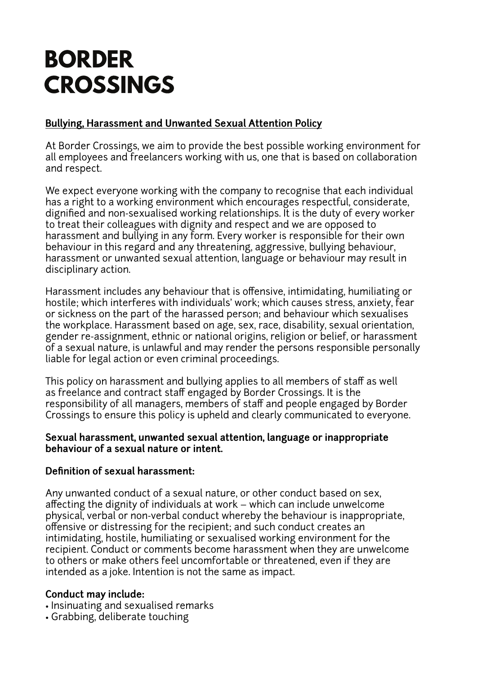# **BORDER CROSSINGS**

## **Bullying, Harassment and Unwanted Sexual Attention Policy**

At Border Crossings, we aim to provide the best possible working environment for all employees and freelancers working with us, one that is based on collaboration and respect.

We expect everyone working with the company to recognise that each individual has a right to a working environment which encourages respectful, considerate, dignified and non-sexualised working relationships. It is the duty of every worker to treat their colleagues with dignity and respect and we are opposed to harassment and bullying in any form. Every worker is responsible for their own behaviour in this regard and any threatening, aggressive, bullying behaviour, harassment or unwanted sexual attention, language or behaviour may result in disciplinary action.

Harassment includes any behaviour that is offensive, intimidating, humiliating or hostile; which interferes with individuals' work; which causes stress, anxiety, fear or sickness on the part of the harassed person; and behaviour which sexualises the workplace. Harassment based on age, sex, race, disability, sexual orientation, gender re-assignment, ethnic or national origins, religion or belief, or harassment of a sexual nature, is unlawful and may render the persons responsible personally liable for legal action or even criminal proceedings.

This policy on harassment and bullying applies to all members of staff as well as freelance and contract staff engaged by Border Crossings. It is the responsibility of all managers, members of staff and people engaged by Border Crossings to ensure this policy is upheld and clearly communicated to everyone.

#### **Sexual harassment, unwanted sexual attention, language or inappropriate behaviour of a sexual nature or intent.**

### **Definition of sexual harassment:**

Any unwanted conduct of a sexual nature, or other conduct based on sex, affecting the dignity of individuals at work – which can include unwelcome physical, verbal or non-verbal conduct whereby the behaviour is inappropriate, offensive or distressing for the recipient; and such conduct creates an intimidating, hostile, humiliating or sexualised working environment for the recipient. Conduct or comments become harassment when they are unwelcome to others or make others feel uncomfortable or threatened, even if they are intended as a joke. Intention is not the same as impact.

### **Conduct may include:**

- Insinuating and sexualised remarks
- Grabbing, deliberate touching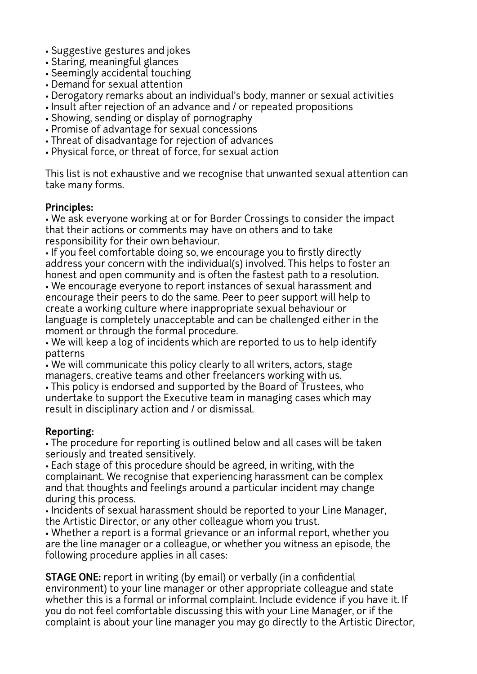- Suggestive gestures and jokes
- Staring, meaningful glances
- Seemingly accidental touching
- Demand for sexual attention
- Derogatory remarks about an individual's body, manner or sexual activities
- Insult after rejection of an advance and / or repeated propositions
- Showing, sending or display of pornography
- Promise of advantage for sexual concessions
- Threat of disadvantage for rejection of advances
- Physical force, or threat of force, for sexual action

This list is not exhaustive and we recognise that unwanted sexual attention can take many forms.

#### **Principles:**

• We ask everyone working at or for Border Crossings to consider the impact that their actions or comments may have on others and to take responsibility for their own behaviour.

• If you feel comfortable doing so, we encourage you to firstly directly address your concern with the individual(s) involved. This helps to foster an honest and open community and is often the fastest path to a resolution.

• We encourage everyone to report instances of sexual harassment and encourage their peers to do the same. Peer to peer support will help to create a working culture where inappropriate sexual behaviour or language is completely unacceptable and can be challenged either in the moment or through the formal procedure.

• We will keep a log of incidents which are reported to us to help identify patterns

• We will communicate this policy clearly to all writers, actors, stage managers, creative teams and other freelancers working with us.

• This policy is endorsed and supported by the Board of Trustees, who undertake to support the Executive team in managing cases which may result in disciplinary action and / or dismissal.

# **Reporting:**

• The procedure for reporting is outlined below and all cases will be taken seriously and treated sensitively.

• Each stage of this procedure should be agreed, in writing, with the complainant. We recognise that experiencing harassment can be complex and that thoughts and feelings around a particular incident may change during this process.

• Incidents of sexual harassment should be reported to your Line Manager, the Artistic Director, or any other colleague whom you trust.

• Whether a report is a formal grievance or an informal report, whether you are the line manager or a colleague, or whether you witness an episode, the following procedure applies in all cases:

**STAGE ONE:** report in writing (by email) or verbally (in a confidential environment) to your line manager or other appropriate colleague and state whether this is a formal or informal complaint. Include evidence if you have it. If you do not feel comfortable discussing this with your Line Manager, or if the complaint is about your line manager you may go directly to the Artistic Director,